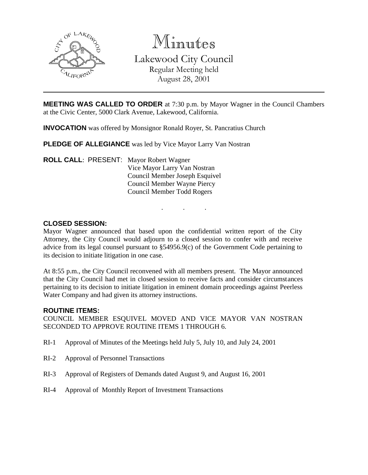

Minutes Lakewood City Council Regular Meeting held August 28, 2001

**MEETING WAS CALLED TO ORDER** at 7:30 p.m. by Mayor Wagner in the Council Chambers at the Civic Center, 5000 Clark Avenue, Lakewood, California.

**INVOCATION** was offered by Monsignor Ronald Royer, St. Pancratius Church

**PLEDGE OF ALLEGIANCE** was led by Vice Mayor Larry Van Nostran

**ROLL CALL**: PRESENT: Mayor Robert Wagner Vice Mayor Larry Van Nostran Council Member Joseph Esquivel Council Member Wayne Piercy Council Member Todd Rogers

### **CLOSED SESSION:**

Mayor Wagner announced that based upon the confidential written report of the City Attorney, the City Council would adjourn to a closed session to confer with and receive advice from its legal counsel pursuant to §54956.9(c) of the Government Code pertaining to its decision to initiate litigation in one case.

. . .

At 8:55 p.m., the City Council reconvened with all members present. The Mayor announced that the City Council had met in closed session to receive facts and consider circumstances pertaining to its decision to initiate litigation in eminent domain proceedings against Peerless Water Company and had given its attorney instructions.

### **ROUTINE ITEMS:**

COUNCIL MEMBER ESQUIVEL MOVED AND VICE MAYOR VAN NOSTRAN SECONDED TO APPROVE ROUTINE ITEMS 1 THROUGH 6.

- RI-1 Approval of Minutes of the Meetings held July 5, July 10, and July 24, 2001
- RI-2 Approval of Personnel Transactions
- RI-3 Approval of Registers of Demands dated August 9, and August 16, 2001
- RI-4 Approval of Monthly Report of Investment Transactions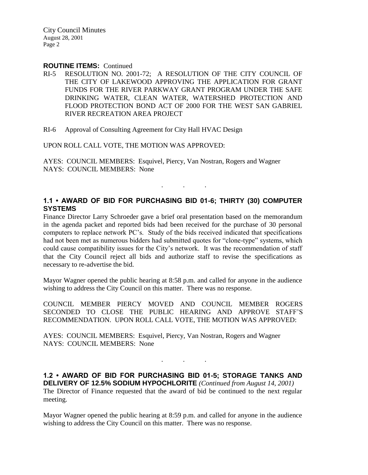City Council Minutes August 28, 2001 Page 2

#### **ROUTINE ITEMS:** Continued

- RI-5 RESOLUTION NO. 2001-72; A RESOLUTION OF THE CITY COUNCIL OF THE CITY OF LAKEWOOD APPROVING THE APPLICATION FOR GRANT FUNDS FOR THE RIVER PARKWAY GRANT PROGRAM UNDER THE SAFE DRINKING WATER, CLEAN WATER, WATERSHED PROTECTION AND FLOOD PROTECTION BOND ACT OF 2000 FOR THE WEST SAN GABRIEL RIVER RECREATION AREA PROJECT
- RI-6 Approval of Consulting Agreement for City Hall HVAC Design

UPON ROLL CALL VOTE, THE MOTION WAS APPROVED:

AYES: COUNCIL MEMBERS: Esquivel, Piercy, Van Nostran, Rogers and Wagner NAYS: COUNCIL MEMBERS: None

## **1.1 • AWARD OF BID FOR PURCHASING BID 01-6; THIRTY (30) COMPUTER SYSTEMS**

. . .

Finance Director Larry Schroeder gave a brief oral presentation based on the memorandum in the agenda packet and reported bids had been received for the purchase of 30 personal computers to replace network PC's. Study of the bids received indicated that specifications had not been met as numerous bidders had submitted quotes for "clone-type" systems, which could cause compatibility issues for the City's network. It was the recommendation of staff that the City Council reject all bids and authorize staff to revise the specifications as necessary to re-advertise the bid.

Mayor Wagner opened the public hearing at 8:58 p.m. and called for anyone in the audience wishing to address the City Council on this matter. There was no response.

COUNCIL MEMBER PIERCY MOVED AND COUNCIL MEMBER ROGERS SECONDED TO CLOSE THE PUBLIC HEARING AND APPROVE STAFF'S RECOMMENDATION. UPON ROLL CALL VOTE, THE MOTION WAS APPROVED:

AYES: COUNCIL MEMBERS: Esquivel, Piercy, Van Nostran, Rogers and Wagner NAYS: COUNCIL MEMBERS: None

**1.2 • AWARD OF BID FOR PURCHASING BID 01-5; STORAGE TANKS AND DELIVERY OF 12.5% SODIUM HYPOCHLORITE** *(Continued from August 14, 2001)* The Director of Finance requested that the award of bid be continued to the next regular meeting.

. . .

Mayor Wagner opened the public hearing at 8:59 p.m. and called for anyone in the audience wishing to address the City Council on this matter. There was no response.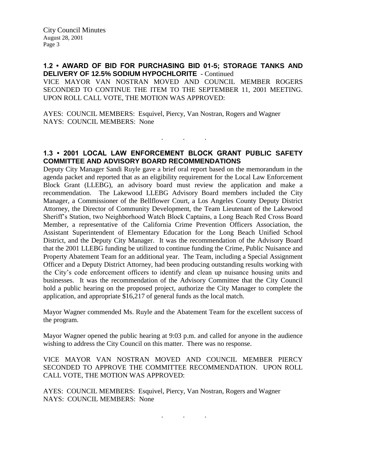**1.2 • AWARD OF BID FOR PURCHASING BID 01-5; STORAGE TANKS AND DELIVERY OF 12.5% SODIUM HYPOCHLORITE** - Continued

VICE MAYOR VAN NOSTRAN MOVED AND COUNCIL MEMBER ROGERS SECONDED TO CONTINUE THE ITEM TO THE SEPTEMBER 11, 2001 MEETING. UPON ROLL CALL VOTE, THE MOTION WAS APPROVED:

AYES: COUNCIL MEMBERS: Esquivel, Piercy, Van Nostran, Rogers and Wagner NAYS: COUNCIL MEMBERS: None

## **1.3 • 2001 LOCAL LAW ENFORCEMENT BLOCK GRANT PUBLIC SAFETY COMMITTEE AND ADVISORY BOARD RECOMMENDATIONS**

. . .

Deputy City Manager Sandi Ruyle gave a brief oral report based on the memorandum in the agenda packet and reported that as an eligibility requirement for the Local Law Enforcement Block Grant (LLEBG), an advisory board must review the application and make a recommendation. The Lakewood LLEBG Advisory Board members included the City Manager, a Commissioner of the Bellflower Court, a Los Angeles County Deputy District Attorney, the Director of Community Development, the Team Lieutenant of the Lakewood Sheriff's Station, two Neighborhood Watch Block Captains, a Long Beach Red Cross Board Member, a representative of the California Crime Prevention Officers Association, the Assistant Superintendent of Elementary Education for the Long Beach Unified School District, and the Deputy City Manager. It was the recommendation of the Advisory Board that the 2001 LLEBG funding be utilized to continue funding the Crime, Public Nuisance and Property Abatement Team for an additional year. The Team, including a Special Assignment Officer and a Deputy District Attorney, had been producing outstanding results working with the City's code enforcement officers to identify and clean up nuisance housing units and businesses. It was the recommendation of the Advisory Committee that the City Council hold a public hearing on the proposed project, authorize the City Manager to complete the application, and appropriate \$16,217 of general funds as the local match.

Mayor Wagner commended Ms. Ruyle and the Abatement Team for the excellent success of the program.

Mayor Wagner opened the public hearing at 9:03 p.m. and called for anyone in the audience wishing to address the City Council on this matter. There was no response.

VICE MAYOR VAN NOSTRAN MOVED AND COUNCIL MEMBER PIERCY SECONDED TO APPROVE THE COMMITTEE RECOMMENDATION. UPON ROLL CALL VOTE, THE MOTION WAS APPROVED:

. . .

AYES: COUNCIL MEMBERS: Esquivel, Piercy, Van Nostran, Rogers and Wagner NAYS: COUNCIL MEMBERS: None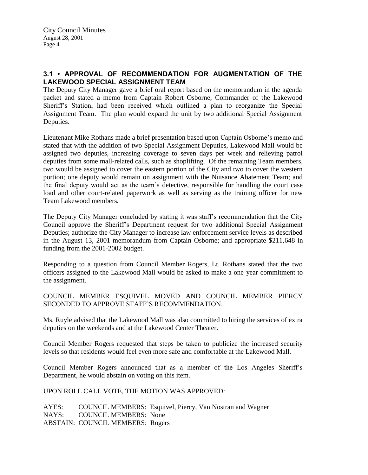# **3.1 • APPROVAL OF RECOMMENDATION FOR AUGMENTATION OF THE LAKEWOOD SPECIAL ASSIGNMENT TEAM**

The Deputy City Manager gave a brief oral report based on the memorandum in the agenda packet and stated a memo from Captain Robert Osborne, Commander of the Lakewood Sheriff's Station, had been received which outlined a plan to reorganize the Special Assignment Team. The plan would expand the unit by two additional Special Assignment Deputies.

Lieutenant Mike Rothans made a brief presentation based upon Captain Osborne's memo and stated that with the addition of two Special Assignment Deputies, Lakewood Mall would be assigned two deputies, increasing coverage to seven days per week and relieving patrol deputies from some mall-related calls, such as shoplifting. Of the remaining Team members, two would be assigned to cover the eastern portion of the City and two to cover the western portion; one deputy would remain on assignment with the Nuisance Abatement Team; and the final deputy would act as the team's detective, responsible for handling the court case load and other court-related paperwork as well as serving as the training officer for new Team Lakewood members.

The Deputy City Manager concluded by stating it was staff's recommendation that the City Council approve the Sheriff's Department request for two additional Special Assignment Deputies; authorize the City Manager to increase law enforcement service levels as described in the August 13, 2001 memorandum from Captain Osborne; and appropriate \$211,648 in funding from the 2001-2002 budget.

Responding to a question from Council Member Rogers, Lt. Rothans stated that the two officers assigned to the Lakewood Mall would be asked to make a one-year commitment to the assignment.

COUNCIL MEMBER ESQUIVEL MOVED AND COUNCIL MEMBER PIERCY SECONDED TO APPROVE STAFF'S RECOMMENDATION.

Ms. Ruyle advised that the Lakewood Mall was also committed to hiring the services of extra deputies on the weekends and at the Lakewood Center Theater.

Council Member Rogers requested that steps be taken to publicize the increased security levels so that residents would feel even more safe and comfortable at the Lakewood Mall.

Council Member Rogers announced that as a member of the Los Angeles Sheriff's Department, he would abstain on voting on this item.

UPON ROLL CALL VOTE, THE MOTION WAS APPROVED:

AYES: COUNCIL MEMBERS: Esquivel, Piercy, Van Nostran and Wagner NAYS: COUNCIL MEMBERS: None ABSTAIN: COUNCIL MEMBERS: Rogers